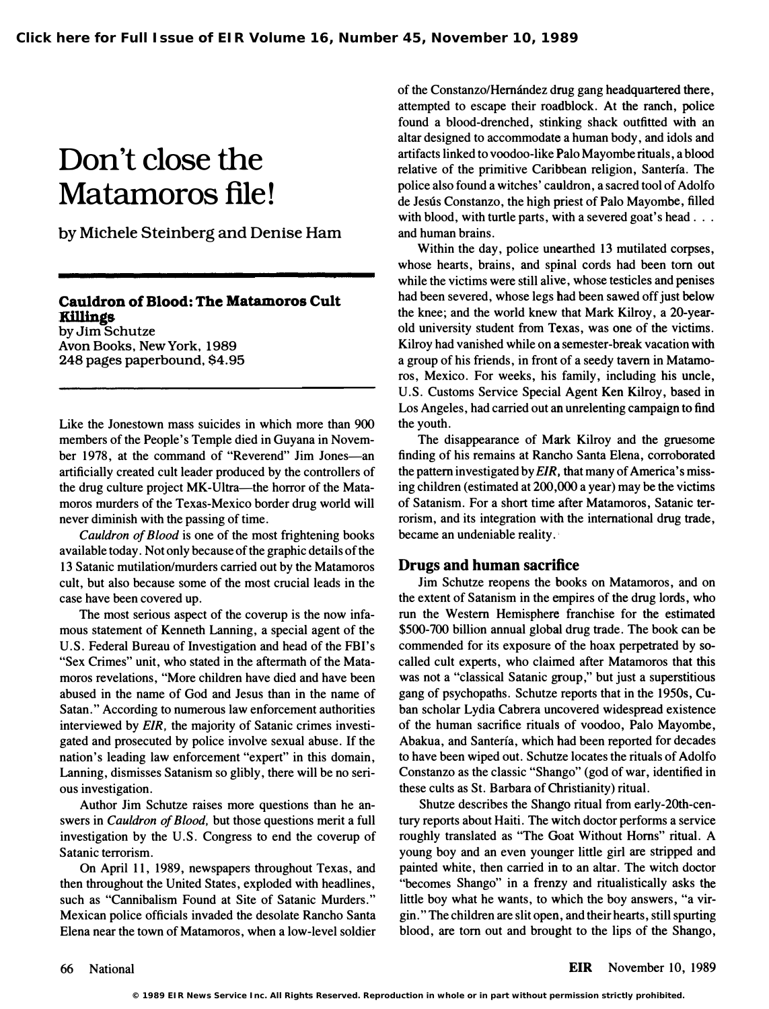## Don't close the Matamoros file!

by Michele Steinberg and Denise Ham

## Cauldron of Blood: The Matamoros Cult Ki11ings

by Jim Schutze Avon Books, New York, 1989 248 pages paperbound, \$4.95

Like the Jonestown mass suicides in which more than 900 members of the People's Temple died in Guyana in November 1978, at the command of "Reverend" Jim Jones-an artificially created cult leader produced by the controllers of the drug culture project MK-Ultra—the horror of the Matamoros murders of the Texas-Mexico border drug world will never diminish with the passing of time.

Cauldron of Blood is one of the most frightening books available today. Not only because of the graphic details of the 13 Satanic mutilation/murders carried out by the Matamoros cult, but also because some of the most crucial leads in the case have been covered up.

The most serious aspect of the coverup is the now infamous statement of Kenneth Lanning, a special agent of the U.S. Federal Bureau of Investigation and head of the FBI's "Sex Crimes" unit, who stated in the aftermath of the Matamoros revelations, "More children have died and have been abused in the name of God and Jesus than in the name of Satan." According to numerous law enforcement authorities interviewed by EIR, the majority of Satanic crimes investigated and prosecuted by police involve sexual abuse. If the nation's leading law enforcement "expert" in this domain, Lanning, dismisses Satanism so glibly, there will be no serious investigation.

Author Jim Schutze raises more questions than he answers in Cauldron of Blood, but those questions merit a full investigation by the U.S. Congress to end the coverup of Satanic terrorism.

On April 11, 1989, newspapers throughout Texas, and then throughout the United States, exploded with headlines, such as "Cannibalism Found at Site of Satanic Murders." Mexican police officials invaded the desolate Rancho Santa Elena near the town of Matamoros, when a low-level soldier

of the Constanzo/Hernández drug gang headquartered there, attempted to escape their roadblock. At the ranch, police found a blood-drenched, stinking shack outfitted with an altar designed to accommodate a human body, and idols and artifacts linked to voodoo-like Palo Mayombe rituals, a blood relative of the primitive Caribbean religion, Santeria. The police also found a witches' cauldron, a sacred tool of Adolfo de Jesús Constanzo, the high priest of Palo Mayombe, filled with blood, with turtle parts, with a severed goat's head . . . and human brains.

Within the day, police unearthed 13 mutilated corpses, whose hearts, brains, and spinal cords had been tom out while the victims were still alive, whose testicles and penises had been severed, whose legs bad been sawed off just below the knee; and the world knew that Mark Kilroy, a 20-yearold university student from Texas, was one of the victims. Kilroy had vanished while on a semester-break vacation with a group of his friends, in front of a seedy tavern in Matamoros, Mexico. For weeks, his family, including his uncle, U.S. Customs Service Special Agent Ken Kilroy, based in Los Angeles, had carried out an unrelenting campaign to find the youth.

The disappearance of Mark Kilroy and the gruesome finding of his remains at Rancho Santa Elena, corroborated the pattern investigated by  $EIR$ , that many of America's missing children (estimated at 200,000 a year) may be the victims of Satanism. For a short time after Matamoros, Satanic terrorism, and its integration with the international drug trade, became an undeniable reality.

## Drugs and human sacrifice

Jim Schutze reopens the books on Matamoros, and on the extent of Satanism in the empires of the drug lords, who run the Western Hemisphere franchise for the estimated \$500-700 billion annual global drug trade. The book can be commended for its exposure of the hoax perpetrated by socalled cult experts, who claimed after Matamoros that this was not a "classical Satanic group," but just a superstitious gang of psychopaths. Schutze reports that in the 1950s, Cuban scholar Lydia Cabrera uncovered widespread existence of the human sacrifice rituals of voodoo, Palo Mayombe, Abakua, and Santeria, which had been reported for decades to have been wiped out. Schutze locates the rituals of Adolfo Constanzo as the classic "Shango" (god of war, identified in these cults as St. Barbara of Christianity) ritual.

Shutze describes the Shango ritual from early-2Oth-century reports about Haiti. The witch doctor performs a service roughly translated as "The Goat Without Horns" ritual. A young boy and an even younger little girl are stripped and painted white, then carried in to an altar. The witch doctor "becomes Shango" in a frenzy and ritualistically asks the little boy what he wants, to which the boy answers, "a virgin." The children are slit open, and their hearts, still spurting blood, are tom out and brought to the lips of the Shango,